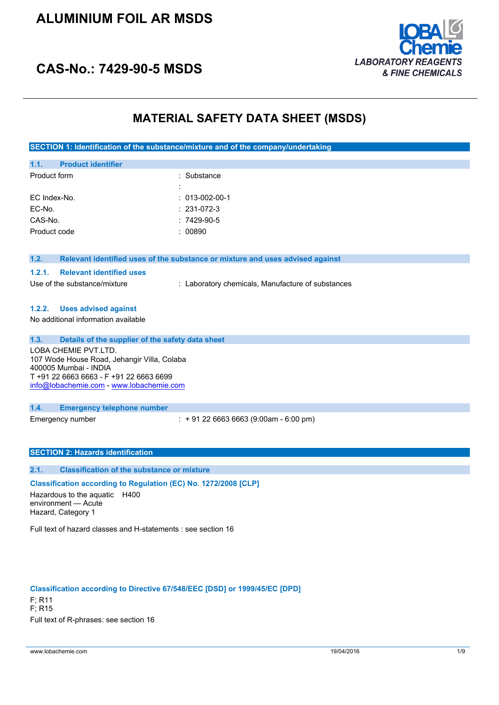## **ALUMINIUM FOIL AR MSDS**



## **CAS-No.: 7429-90-5 MSDS**

## **MATERIAL SAFETY DATA SHEET (MSDS)**

**SECTION 1: Identification of the substance/mixture and of the company/undertaking**

| 1.1.         | <b>Product identifier</b> |                        |
|--------------|---------------------------|------------------------|
| Product form |                           | : Substance            |
|              |                           |                        |
|              | EC Index-No.              | $: 013 - 002 - 00 - 1$ |
| EC-No.       |                           | $: 231-072-3$          |
| CAS-No.      |                           | $:7429-90-5$           |
|              | Product code              | : 00890                |
|              |                           |                        |

#### **1.2. Relevant identified uses of the substance or mixture and uses advised against**

#### **1.2.1. Relevant identified uses**

Use of the substance/mixture : Laboratory chemicals, Manufacture of substances

### **1.2.2. Uses advised against**

No additional information available

#### **1.3. Details of the supplier of the safety data sheet**

LOBA CHEMIE PVT.LTD. 107 Wode House Road, Jehangir Villa, Colaba 400005 Mumbai - INDIA T +91 22 6663 6663 - F +91 22 6663 6699 [info@lobachemie.com](mailto:info@lobachemie.com) - <www.lobachemie.com>

#### **1.4. Emergency telephone number**

Emergency number : + 91 22 6663 6663 (9:00am - 6:00 pm)

### **SECTION 2: Hazards identification**

#### **2.1. Classification of the substance or mixture**

### **Classification according to Regulation (EC) No. 1272/2008 [CLP]**

Hazardous to the aquatic H400 environment — Acute Hazard, Category 1

Full text of hazard classes and H-statements : see section 16

#### **Classification according to Directive 67/548/EEC [DSD] or 1999/45/EC [DPD]**

F; R11 F; R15 Full text of R-phrases: see section 16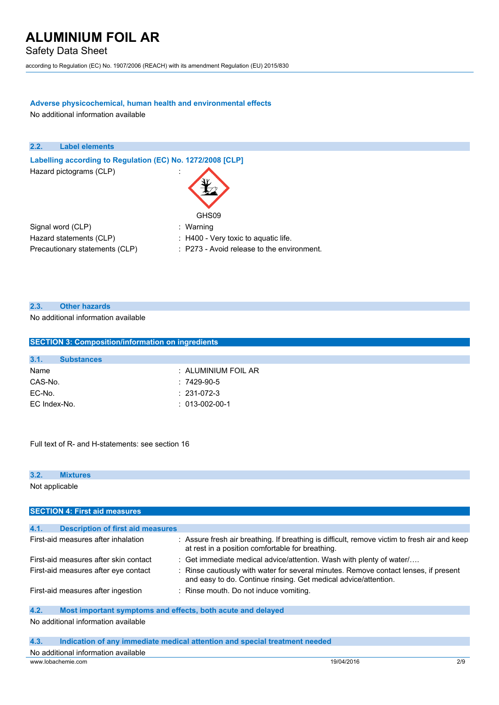Safety Data Sheet

according to Regulation (EC) No. 1907/2006 (REACH) with its amendment Regulation (EU) 2015/830

## **Adverse physicochemical, human health and environmental effects**

No additional information available



### **2.3. Other hazards**

No additional information available

| <b>SECTION 3: Composition/information on ingredients</b> |                     |  |  |  |
|----------------------------------------------------------|---------------------|--|--|--|
|                                                          |                     |  |  |  |
| 3.1.<br><b>Substances</b>                                |                     |  |  |  |
| Name                                                     | : ALUMINIUM FOIL AR |  |  |  |
| CAS-No.                                                  | $:7429-90-5$        |  |  |  |
| EC-No.                                                   | $: 231-072-3$       |  |  |  |
| EC Index-No.                                             | $: 013-002-00-1$    |  |  |  |
|                                                          |                     |  |  |  |
|                                                          |                     |  |  |  |

Full text of R- and H-statements: see section 16

## **3.2. Mixtures**

Not applicable

| <b>SECTION 4: First aid measures</b>             |                                                                                                                                                         |  |  |
|--------------------------------------------------|---------------------------------------------------------------------------------------------------------------------------------------------------------|--|--|
|                                                  |                                                                                                                                                         |  |  |
| 4.1.<br><b>Description of first aid measures</b> |                                                                                                                                                         |  |  |
| First-aid measures after inhalation              | : Assure fresh air breathing. If breathing is difficult, remove victim to fresh air and keep<br>at rest in a position comfortable for breathing.        |  |  |
| First-aid measures after skin contact            | : Get immediate medical advice/attention. Wash with plenty of water                                                                                     |  |  |
| First-aid measures after eye contact             | : Rinse cautiously with water for several minutes. Remove contact lenses, if present<br>and easy to do. Continue rinsing. Get medical advice/attention. |  |  |
| First-aid measures after ingestion               | : Rinse mouth. Do not induce vomiting.                                                                                                                  |  |  |
| 4.2.                                             | Most important symptoms and effects, both acute and delayed                                                                                             |  |  |
|                                                  |                                                                                                                                                         |  |  |

#### No additional information available

| 4.3.<br>Indication of any immediate medical attention and special treatment needed |  |
|------------------------------------------------------------------------------------|--|
|------------------------------------------------------------------------------------|--|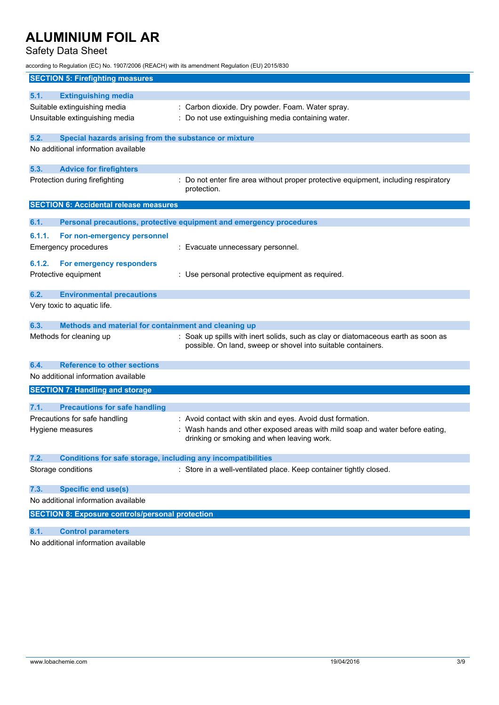## Safety Data Sheet

according to Regulation (EC) No. 1907/2006 (REACH) with its amendment Regulation (EU) 2015/830

| <b>SECTION 5: Firefighting measures</b>                                     |                                                                                                                          |
|-----------------------------------------------------------------------------|--------------------------------------------------------------------------------------------------------------------------|
| 5.1.<br><b>Extinguishing media</b>                                          |                                                                                                                          |
| Suitable extinguishing media                                                | : Carbon dioxide. Dry powder. Foam. Water spray.                                                                         |
| Unsuitable extinguishing media                                              | : Do not use extinguishing media containing water.                                                                       |
|                                                                             |                                                                                                                          |
| 5.2.<br>Special hazards arising from the substance or mixture               |                                                                                                                          |
| No additional information available                                         |                                                                                                                          |
| 5.3.<br><b>Advice for firefighters</b>                                      |                                                                                                                          |
| Protection during firefighting                                              | : Do not enter fire area without proper protective equipment, including respiratory                                      |
|                                                                             | protection.                                                                                                              |
| <b>SECTION 6: Accidental release measures</b>                               |                                                                                                                          |
| 6.1.                                                                        | Personal precautions, protective equipment and emergency procedures                                                      |
| 6.1.1.<br>For non-emergency personnel                                       |                                                                                                                          |
| <b>Emergency procedures</b>                                                 | : Evacuate unnecessary personnel.                                                                                        |
|                                                                             |                                                                                                                          |
| 6.1.2.<br>For emergency responders<br>Protective equipment                  | : Use personal protective equipment as required.                                                                         |
|                                                                             |                                                                                                                          |
| 6.2.<br><b>Environmental precautions</b>                                    |                                                                                                                          |
| Very toxic to aquatic life.                                                 |                                                                                                                          |
| 6.3.<br>Methods and material for containment and cleaning up                |                                                                                                                          |
| Methods for cleaning up                                                     | : Soak up spills with inert solids, such as clay or diatomaceous earth as soon as                                        |
|                                                                             | possible. On land, sweep or shovel into suitable containers.                                                             |
| 6.4.<br><b>Reference to other sections</b>                                  |                                                                                                                          |
| No additional information available                                         |                                                                                                                          |
| <b>SECTION 7: Handling and storage</b>                                      |                                                                                                                          |
|                                                                             |                                                                                                                          |
| <b>Precautions for safe handling</b><br>7.1.                                |                                                                                                                          |
| Precautions for safe handling                                               | : Avoid contact with skin and eyes. Avoid dust formation.                                                                |
| Hygiene measures                                                            | Wash hands and other exposed areas with mild soap and water before eating,<br>drinking or smoking and when leaving work. |
|                                                                             |                                                                                                                          |
| <b>Conditions for safe storage, including any incompatibilities</b><br>7.2. |                                                                                                                          |
| Storage conditions                                                          | : Store in a well-ventilated place. Keep container tightly closed.                                                       |
| <b>Specific end use(s)</b><br>7.3.                                          |                                                                                                                          |
| No additional information available                                         |                                                                                                                          |
| <b>SECTION 8: Exposure controls/personal protection</b>                     |                                                                                                                          |
|                                                                             |                                                                                                                          |
| 8.1.<br><b>Control parameters</b>                                           |                                                                                                                          |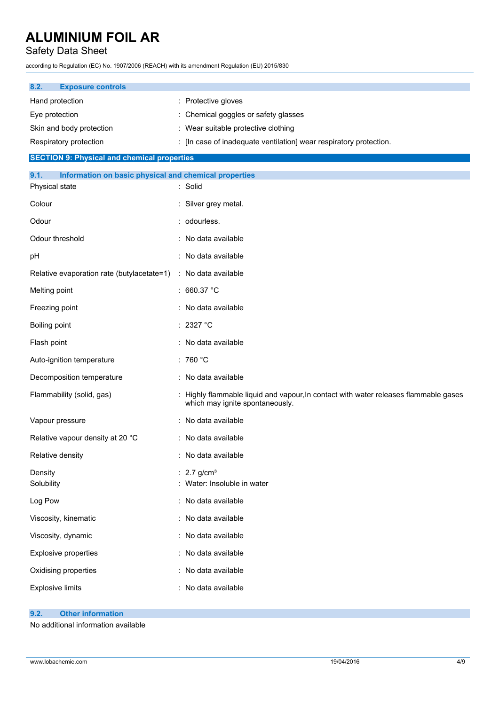Safety Data Sheet

according to Regulation (EC) No. 1907/2006 (REACH) with its amendment Regulation (EU) 2015/830

| 8.2.            | <b>Exposure controls</b> |                                                                    |
|-----------------|--------------------------|--------------------------------------------------------------------|
| Hand protection |                          | : Protective gloves                                                |
| Eye protection  |                          | : Chemical goggles or safety glasses                               |
|                 | Skin and body protection | : Wear suitable protective clothing                                |
|                 | Respiratory protection   | : [In case of inadequate ventilation] wear respiratory protection. |

## **SECTION 9: Physical and chemical properties**

| 9.1.<br>Information on basic physical and chemical properties |                                                                                                                         |
|---------------------------------------------------------------|-------------------------------------------------------------------------------------------------------------------------|
| Physical state                                                | : Solid                                                                                                                 |
| Colour                                                        | : Silver grey metal.                                                                                                    |
| Odour                                                         | : odourless.                                                                                                            |
| Odour threshold                                               | : No data available                                                                                                     |
| pH                                                            | : No data available                                                                                                     |
| Relative evaporation rate (butylacetate=1)                    | : No data available                                                                                                     |
| Melting point                                                 | : 660.37 °C                                                                                                             |
| Freezing point                                                | : No data available                                                                                                     |
| Boiling point                                                 | : 2327 °C                                                                                                               |
| Flash point                                                   | : No data available                                                                                                     |
| Auto-ignition temperature                                     | : 760 $^{\circ}$ C                                                                                                      |
| Decomposition temperature                                     | : No data available                                                                                                     |
| Flammability (solid, gas)                                     | : Highly flammable liquid and vapour, In contact with water releases flammable gases<br>which may ignite spontaneously. |
| Vapour pressure                                               | : No data available                                                                                                     |
| Relative vapour density at 20 °C                              | : No data available                                                                                                     |
| Relative density                                              | : No data available                                                                                                     |
| Density<br>Solubility                                         | : $2.7$ g/cm <sup>3</sup><br>: Water: Insoluble in water                                                                |
| Log Pow                                                       | : No data available                                                                                                     |
| Viscosity, kinematic                                          | : No data available                                                                                                     |
| Viscosity, dynamic                                            | : No data available                                                                                                     |
| Explosive properties                                          | : No data available                                                                                                     |
| Oxidising properties                                          | : No data available                                                                                                     |
| <b>Explosive limits</b>                                       | : No data available                                                                                                     |

## **9.2. Other information**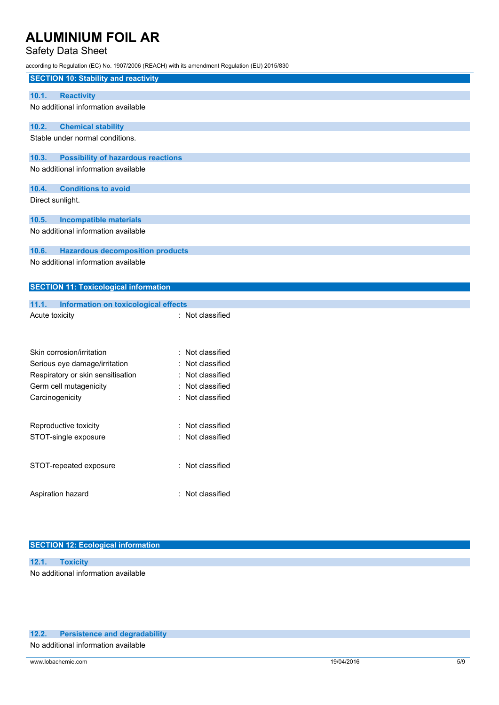## Safety Data Sheet

according to Regulation (EC) No. 1907/2006 (REACH) with its amendment Regulation (EU) 2015/830

|                  |                                              | iccording to regulation (EO) NO. T30772000 (NEAOH) with its amendment Negulation (EO) 2013/030 |
|------------------|----------------------------------------------|------------------------------------------------------------------------------------------------|
|                  | <b>SECTION 10: Stability and reactivity</b>  |                                                                                                |
| 10.1.            | <b>Reactivity</b>                            |                                                                                                |
|                  | No additional information available          |                                                                                                |
|                  |                                              |                                                                                                |
| 10.2.            | <b>Chemical stability</b>                    |                                                                                                |
|                  | Stable under normal conditions.              |                                                                                                |
| 10.3.            | <b>Possibility of hazardous reactions</b>    |                                                                                                |
|                  | No additional information available          |                                                                                                |
| 10.4.            | <b>Conditions to avoid</b>                   |                                                                                                |
| Direct sunlight. |                                              |                                                                                                |
| 10.5.            | <b>Incompatible materials</b>                |                                                                                                |
|                  | No additional information available          |                                                                                                |
| 10.6.            | <b>Hazardous decomposition products</b>      |                                                                                                |
|                  | No additional information available          |                                                                                                |
|                  |                                              |                                                                                                |
|                  | <b>SECTION 11: Toxicological information</b> |                                                                                                |
| 11.1.            | Information on toxicological effects         |                                                                                                |
| Acute toxicity   |                                              | : Not classified                                                                               |
|                  |                                              |                                                                                                |
|                  |                                              |                                                                                                |
|                  | Skin corrosion/irritation                    | Not classified                                                                                 |
|                  | Serious eye damage/irritation                | Not classified                                                                                 |
|                  | Respiratory or skin sensitisation            | Not classified                                                                                 |
|                  | Germ cell mutagenicity                       | Not classified                                                                                 |
| Carcinogenicity  |                                              | : Not classified                                                                               |
|                  |                                              |                                                                                                |
|                  | Reproductive toxicity                        | : Not classified                                                                               |
|                  | STOT-single exposure                         | Not classified                                                                                 |
|                  |                                              |                                                                                                |

Aspiration hazard **in the set of the set of the set of the set of the set of the set of the set of the set of the set of the set of the set of the set of the set of the set of the set of the set of the set of the set of th** 

STOT-repeated exposure : Not classified

## **SECTION 12: Ecological information**

### **12.1. Toxicity**

No additional information available

## **12.2. Persistence and degradability**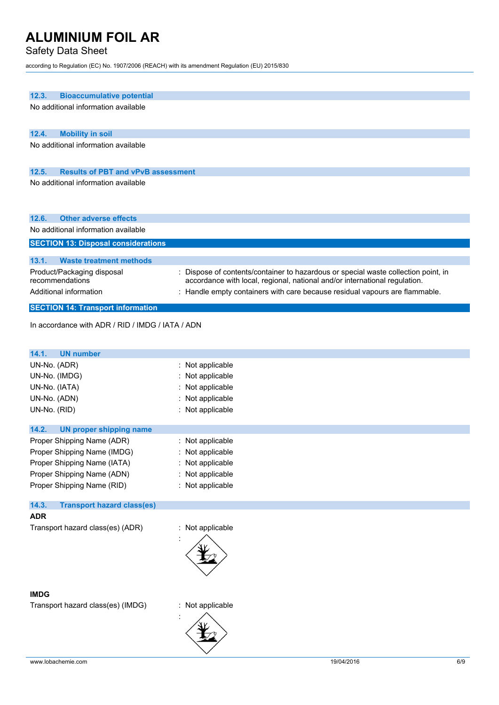## Safety Data Sheet

according to Regulation (EC) No. 1907/2006 (REACH) with its amendment Regulation (EU) 2015/830

| 12.3.<br><b>Bioaccumulative potential</b>                                                                                                                                                                         |  |  |  |
|-------------------------------------------------------------------------------------------------------------------------------------------------------------------------------------------------------------------|--|--|--|
| No additional information available                                                                                                                                                                               |  |  |  |
| 12.4.<br><b>Mobility in soil</b>                                                                                                                                                                                  |  |  |  |
| No additional information available                                                                                                                                                                               |  |  |  |
| <b>Results of PBT and vPvB assessment</b><br>12.5.                                                                                                                                                                |  |  |  |
| No additional information available                                                                                                                                                                               |  |  |  |
| <b>Other adverse effects</b><br>12.6.                                                                                                                                                                             |  |  |  |
| No additional information available                                                                                                                                                                               |  |  |  |
| <b>SECTION 13: Disposal considerations</b>                                                                                                                                                                        |  |  |  |
| <b>Waste treatment methods</b><br>13.1.                                                                                                                                                                           |  |  |  |
| : Dispose of contents/container to hazardous or special waste collection point, in<br>Product/Packaging disposal<br>recommendations<br>accordance with local, regional, national and/or international regulation. |  |  |  |
| : Handle empty containers with care because residual vapours are flammable.<br>Additional information                                                                                                             |  |  |  |
| <b>SECTION 14: Transport information</b>                                                                                                                                                                          |  |  |  |
| In accordance with ADR / RID / IMDG / IATA / ADN                                                                                                                                                                  |  |  |  |

| <b>UN number</b><br>14.1.                  |                  |
|--------------------------------------------|------------------|
| UN-No. (ADR)                               | Not applicable   |
| UN-No. (IMDG)                              | Not applicable   |
| UN-No. (IATA)                              | Not applicable   |
| UN-No. (ADN)                               | Not applicable   |
| UN-No. (RID)                               | Not applicable   |
| 14.2.<br><b>UN proper shipping name</b>    |                  |
| Proper Shipping Name (ADR)                 | : Not applicable |
| Proper Shipping Name (IMDG)                | Not applicable   |
| Proper Shipping Name (IATA)                | Not applicable   |
| Proper Shipping Name (ADN)                 | Not applicable   |
| Proper Shipping Name (RID)                 | : Not applicable |
| 14.3.<br><b>Transport hazard class(es)</b> |                  |
| <b>ADR</b>                                 |                  |
| Transport hazard class(es) (ADR)           | Not applicable   |
| <b>IMDG</b>                                |                  |
| Transport hazard class(es) (IMDG)          | Not applicable   |
|                                            |                  |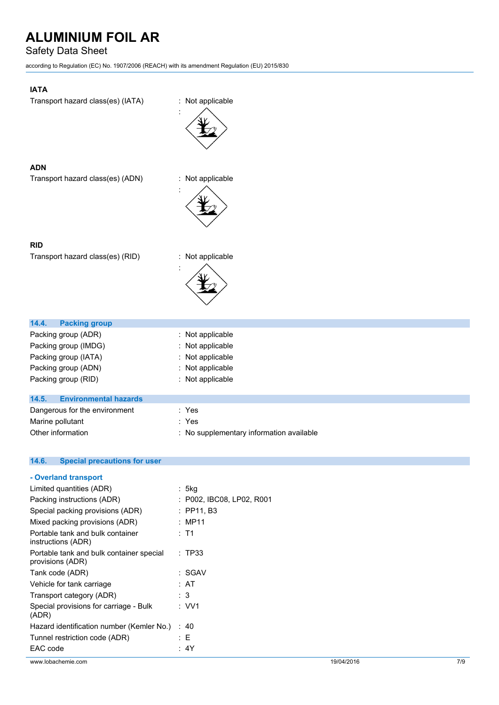## Safety Data Sheet

according to Regulation (EC) No. 1907/2006 (REACH) with its amendment Regulation (EU) 2015/830

## **IATA**

Transport hazard class(es) (IATA) : Not applicable



:

## **ADN**

**RID**

Transport hazard class(es) (ADN) : Not applicable



Transport hazard class(es) (RID) : Not applicable



| <b>Packing group</b><br>14.4.         |                                          |
|---------------------------------------|------------------------------------------|
| Packing group (ADR)                   | $:$ Not applicable                       |
| Packing group (IMDG)                  | : Not applicable                         |
| Packing group (IATA)                  | : Not applicable                         |
| Packing group (ADN)                   | : Not applicable                         |
| Packing group (RID)                   | : Not applicable                         |
|                                       |                                          |
| <b>Environmental hazards</b><br>14.5. |                                          |
| Dangerous for the environment         | : Yes                                    |
| Marine pollutant                      | : Yes                                    |
| Other information                     | : No supplementary information available |
|                                       |                                          |

## **14.6. Special precautions for user**

| Limited quantities (ADR)                                     | : 5kg                       |            |     |
|--------------------------------------------------------------|-----------------------------|------------|-----|
| Packing instructions (ADR)                                   | $:$ P002, IBC08, LP02, R001 |            |     |
| Special packing provisions (ADR)                             | $:$ PP11, B3                |            |     |
| Mixed packing provisions (ADR)                               | : MP11                      |            |     |
| Portable tank and bulk container<br>instructions (ADR)       | $:$ T1                      |            |     |
| Portable tank and bulk container special<br>provisions (ADR) | : TP33                      |            |     |
| Tank code (ADR)                                              | :SGAV                       |            |     |
| Vehicle for tank carriage                                    | : AT                        |            |     |
| Transport category (ADR)                                     | : 3                         |            |     |
| Special provisions for carriage - Bulk<br>(ADR)              | : VVI                       |            |     |
| Hazard identification number (Kemler No.)                    | :40                         |            |     |
| Tunnel restriction code (ADR)                                | : E                         |            |     |
| EAC code                                                     | : 4Y                        |            |     |
| www.lobachemie.com                                           |                             | 19/04/2016 | 7/9 |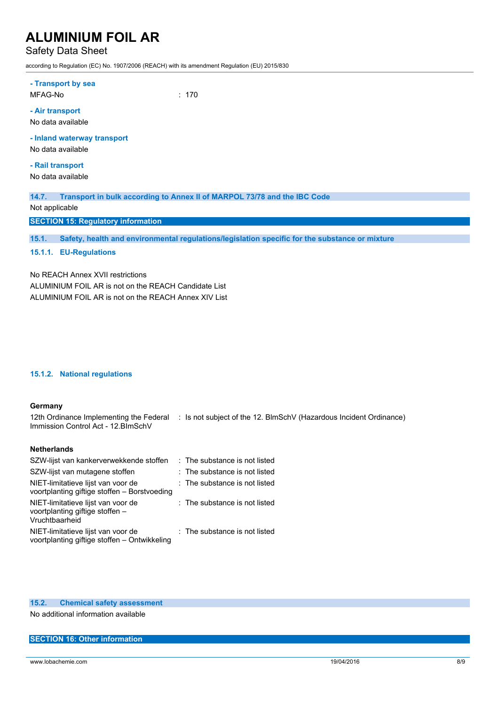## Safety Data Sheet

according to Regulation (EC) No. 1907/2006 (REACH) with its amendment Regulation (EU) 2015/830

| - Transport by sea<br>MFAG-No                    | : 170 |
|--------------------------------------------------|-------|
| - Air transport<br>No data available             |       |
| - Inland waterway transport<br>No data available |       |
| - Rail transport<br>No data available            |       |

**14.7. Transport in bulk according to Annex II of MARPOL 73/78 and the IBC Code**

Not applicable

**SECTION 15: Regulatory information**

**15.1. Safety, health and environmental regulations/legislation specific for the substance or mixture**

## **15.1.1. EU-Regulations**

No REACH Annex XVII restrictions ALUMINIUM FOIL AR is not on the REACH Candidate List ALUMINIUM FOIL AR is not on the REACH Annex XIV List

### **15.1.2. National regulations**

#### **Germany**

12th Ordinance Implementing the Federal : Is not subject of the 12. BlmSchV (Hazardous Incident Ordinance) Immission Control Act - 12.BImSchV

### **Netherlands**

| SZW-lijst van kankerverwekkende stoffen                                                 | : The substance is not listed |
|-----------------------------------------------------------------------------------------|-------------------------------|
| SZW-lijst van mutagene stoffen                                                          | : The substance is not listed |
| NIET-limitatieve lijst van voor de<br>voortplanting giftige stoffen - Borstvoeding      | : The substance is not listed |
| NIET-limitatieve lijst van voor de<br>voortplanting giftige stoffen -<br>Vruchtbaarheid | : The substance is not listed |
| NIET-limitatieve lijst van voor de<br>voortplanting giftige stoffen - Ontwikkeling      | : The substance is not listed |

### **15.2. Chemical safety assessment**

No additional information available

#### **SECTION 16: Other information**